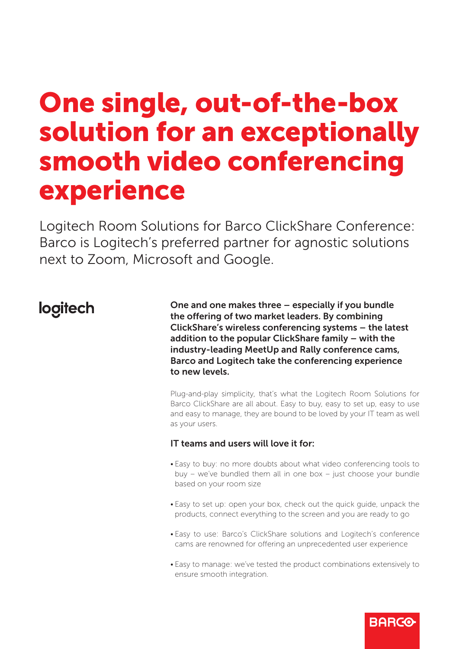# One single, out-of-the-box solution for an exceptionally smooth video conferencing experience

Logitech Room Solutions for Barco ClickShare Conference: Barco is Logitech's preferred partner for agnostic solutions next to Zoom, Microsoft and Google.

## logitech

One and one makes three – especially if you bundle the offering of two market leaders. By combining ClickShare's wireless conferencing systems – the latest addition to the popular ClickShare family – with the industry-leading MeetUp and Rally conference cams, Barco and Logitech take the conferencing experience to new levels.

Plug-and-play simplicity, that's what the Logitech Room Solutions for Barco ClickShare are all about. Easy to buy, easy to set up, easy to use and easy to manage, they are bound to be loved by your IT team as well as your users.

### IT teams and users will love it for:

- Easy to buy: no more doubts about what video conferencing tools to buy – we've bundled them all in one box – just choose your bundle based on your room size
- Easy to set up: open your box, check out the quick guide, unpack the products, connect everything to the screen and you are ready to go
- Easy to use: Barco's ClickShare solutions and Logitech's conference cams are renowned for offering an unprecedented user experience
- Easy to manage: we've tested the product combinations extensively to ensure smooth integration.